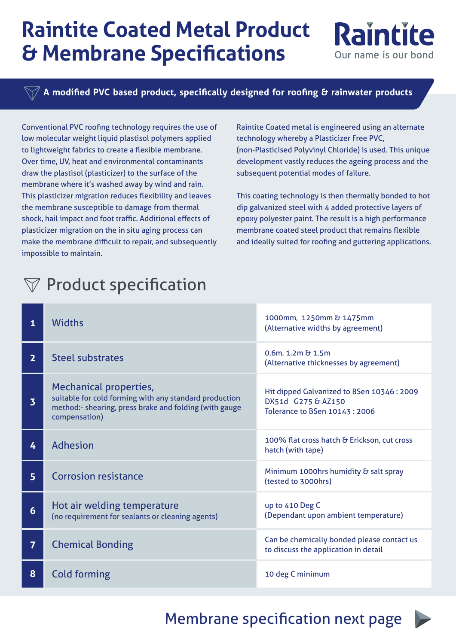## **Raintite Coated Metal Product & Membrane Specifications**

**A modified PVC based product, specifically designed for roofing & rainwater products**

Conventional PVC roofing technology requires the use of low molecular weight liquid plastisol polymers applied to lightweight fabrics to create a flexible membrane. Over time, UV, heat and environmental contaminants draw the plastisol (plasticizer) to the surface of the membrane where it's washed away by wind and rain. This plasticizer migration reduces flexibility and leaves the membrane susceptible to damage from thermal shock, hail impact and foot traffic. Additional effects of plasticizer migration on the in situ aging process can make the membrane difficult to repair, and subsequently impossible to maintain.

Raintite Coated metal is engineered using an alternate technology whereby a Plasticizer Free PVC, (non-Plasticised Polyvinyl Chloride) is used. This unique development vastly reduces the ageing process and the subsequent potential modes of failure.

**Raintite** 

Our name is our bond

This coating technology is then thermally bonded to hot dip galvanized steel with 4 added protective layers of epoxy polyester paint. The result is a high performance membrane coated steel product that remains flexible and ideally suited for roofing and guttering applications.

## $\nabla$  Product specification

| 1                       | <b>Widths</b>                                                                                                                                                      | 1000mm, 1250mm & 1475mm<br>(Alternative widths by agreement)                                             |
|-------------------------|--------------------------------------------------------------------------------------------------------------------------------------------------------------------|----------------------------------------------------------------------------------------------------------|
| $\overline{2}$          | <b>Steel substrates</b>                                                                                                                                            | $0.6m$ , 1.2m $\&$ 1.5m<br>(Alternative thicknesses by agreement)                                        |
| $\overline{\mathbf{3}}$ | <b>Mechanical properties,</b><br>suitable for cold forming with any standard production<br>method:- shearing, press brake and folding (with gauge<br>compensation) | Hit dipped Galvanized to BSen 10346 : 2009<br>DX51d G275 & AZ150<br><b>Tolerance to BSen 10143: 2006</b> |
| 4                       | <b>Adhesion</b>                                                                                                                                                    | 100% flat cross hatch & Erickson, cut cross<br>hatch (with tape)                                         |
| 5 <sup>1</sup>          | <b>Corrosion resistance</b>                                                                                                                                        | Minimum 1000hrs humidity & salt spray<br>(tested to 3000hrs)                                             |
| 6                       | Hot air welding temperature<br>(no requirement for sealants or cleaning agents)                                                                                    | up to 410 Deg C<br>(Dependant upon ambient temperature)                                                  |
| $\overline{7}$          | <b>Chemical Bonding</b>                                                                                                                                            | Can be chemically bonded please contact us<br>to discuss the application in detail                       |
| 8                       | <b>Cold forming</b>                                                                                                                                                | 10 deg C minimum                                                                                         |

[Membrane specification next page](#page-1-0)